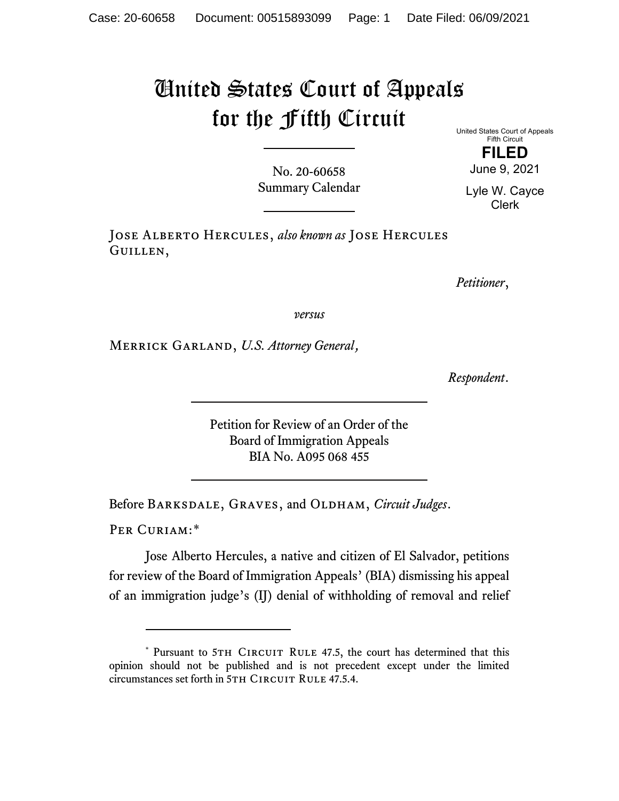## United States Court of Appeals for the Fifth Circuit

No. 20-60658 Summary Calendar United States Court of Appeals Fifth Circuit

> **FILED** June 9, 2021

Lyle W. Cayce Clerk

Jose Alberto Hercules, *also known as* Jose Hercules Guillen,

*Petitioner*,

*versus*

Merrick Garland, *U.S. Attorney General*,

*Respondent*.

Petition for Review of an Order of the Board of Immigration Appeals BIA No. A095 068 455

Before BARKSDALE, GRAVES, and OLDHAM, *Circuit Judges*.

PER CURIAM:[\\*](#page-0-0)

Jose Alberto Hercules, a native and citizen of El Salvador, petitions for review of the Board of Immigration Appeals' (BIA) dismissing his appeal of an immigration judge's (IJ) denial of withholding of removal and relief

<span id="page-0-0"></span><sup>\*</sup> Pursuant to 5TH CIRCUIT RULE 47.5, the court has determined that this opinion should not be published and is not precedent except under the limited circumstances set forth in 5TH CIRCUIT RULE 47.5.4.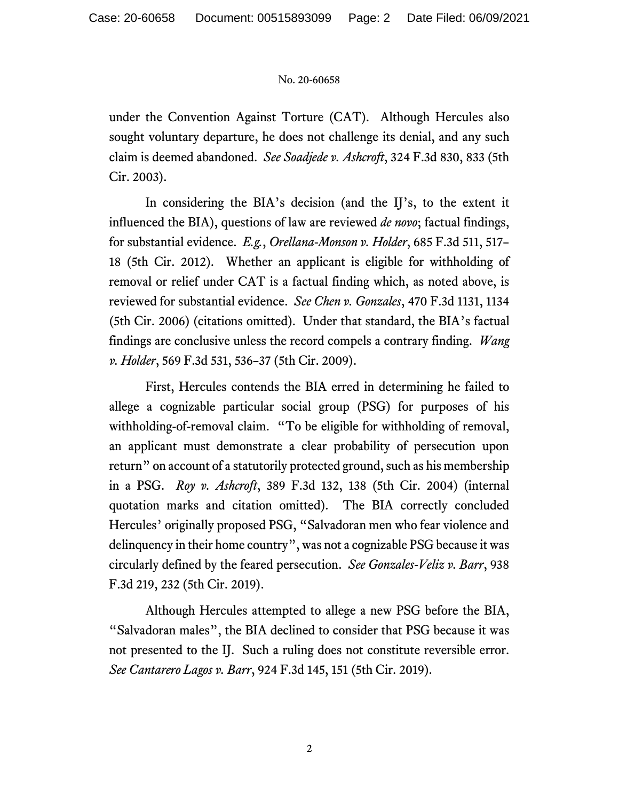## No. 20-60658

under the Convention Against Torture (CAT). Although Hercules also sought voluntary departure, he does not challenge its denial, and any such claim is deemed abandoned. *See Soadjede v. Ashcroft*, 324 F.3d 830, 833 (5th Cir. 2003).

In considering the BIA's decision (and the IJ's, to the extent it influenced the BIA), questions of law are reviewed *de novo*; factual findings, for substantial evidence. *E.g.*, *Orellana-Monson v. Holder*, 685 F.3d 511, 517– 18 (5th Cir. 2012). Whether an applicant is eligible for withholding of removal or relief under CAT is a factual finding which, as noted above, is reviewed for substantial evidence. *See Chen v. Gonzales*, 470 F.3d 1131, 1134 (5th Cir. 2006) (citations omitted). Under that standard, the BIA's factual findings are conclusive unless the record compels a contrary finding. *Wang v. Holder*, 569 F.3d 531, 536–37 (5th Cir. 2009).

First, Hercules contends the BIA erred in determining he failed to allege a cognizable particular social group (PSG) for purposes of his withholding-of-removal claim. "To be eligible for withholding of removal, an applicant must demonstrate a clear probability of persecution upon return" on account of a statutorily protected ground, such as his membership in a PSG. *Roy v. Ashcroft*, 389 F.3d 132, 138 (5th Cir. 2004) (internal quotation marks and citation omitted). The BIA correctly concluded Hercules' originally proposed PSG, "Salvadoran men who fear violence and delinquency in their home country", was not a cognizable PSG because it was circularly defined by the feared persecution. *See Gonzales-Veliz v. Barr*, 938 F.3d 219, 232 (5th Cir. 2019).

Although Hercules attempted to allege a new PSG before the BIA, "Salvadoran males", the BIA declined to consider that PSG because it was not presented to the IJ. Such a ruling does not constitute reversible error. *See Cantarero Lagos v. Barr*, 924 F.3d 145, 151 (5th Cir. 2019).